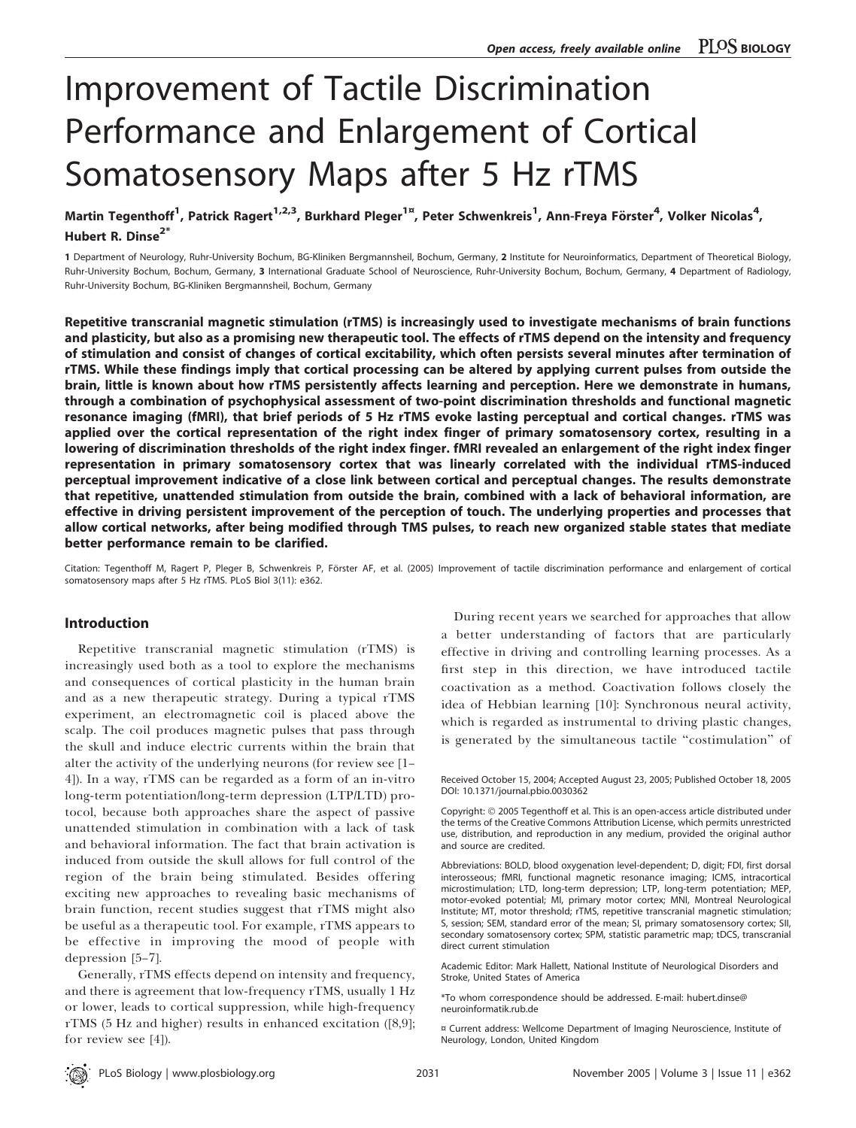# Improvement of Tactile Discrimination Performance and Enlargement of Cortical Somatosensory Maps after 5 Hz rTMS

Martin Tegenthoff<sup>1</sup>, Patrick Ragert<sup>1,2,3</sup>, Burkhard Pleger<sup>1¤</sup>, Peter Schwenkreis<sup>1</sup>, Ann-Freya Förster<sup>4</sup>, Volker Nicolas<sup>4</sup>, Hubert R. Dinse<sup>2\*</sup>

1 Department of Neurology, Ruhr-University Bochum, BG-Kliniken Bergmannsheil, Bochum, Germany, 2 Institute for Neuroinformatics, Department of Theoretical Biology, Ruhr-University Bochum, Bochum, Germany, 3 International Graduate School of Neuroscience, Ruhr-University Bochum, Germany, 4 Department of Radiology, Ruhr-University Bochum, BG-Kliniken Bergmannsheil, Bochum, Germany

Repetitive transcranial magnetic stimulation (rTMS) is increasingly used to investigate mechanisms of brain functions and plasticity, but also as a promising new therapeutic tool. The effects of rTMS depend on the intensity and frequency of stimulation and consist of changes of cortical excitability, which often persists several minutes after termination of rTMS. While these findings imply that cortical processing can be altered by applying current pulses from outside the brain, little is known about how rTMS persistently affects learning and perception. Here we demonstrate in humans, through a combination of psychophysical assessment of two-point discrimination thresholds and functional magnetic resonance imaging (fMRI), that brief periods of 5 Hz rTMS evoke lasting perceptual and cortical changes. rTMS was applied over the cortical representation of the right index finger of primary somatosensory cortex, resulting in a lowering of discrimination thresholds of the right index finger. fMRI revealed an enlargement of the right index finger representation in primary somatosensory cortex that was linearly correlated with the individual rTMS-induced perceptual improvement indicative of a close link between cortical and perceptual changes. The results demonstrate that repetitive, unattended stimulation from outside the brain, combined with a lack of behavioral information, are effective in driving persistent improvement of the perception of touch. The underlying properties and processes that allow cortical networks, after being modified through TMS pulses, to reach new organized stable states that mediate better performance remain to be clarified.

Citation: Tegenthoff M, Ragert P, Pleger B, Schwenkreis P, Förster AF, et al. (2005) Improvement of tactile discrimination performance and enlargement of cortical somatosensory maps after 5 Hz rTMS. PLoS Biol 3(11): e362.

# Introduction

Repetitive transcranial magnetic stimulation (rTMS) is increasingly used both as a tool to explore the mechanisms and consequences of cortical plasticity in the human brain and as a new therapeutic strategy. During a typical rTMS experiment, an electromagnetic coil is placed above the scalp. The coil produces magnetic pulses that pass through the skull and induce electric currents within the brain that alter the activity of the underlying neurons (for review see [1– 4]). In a way, rTMS can be regarded as a form of an in-vitro long-term potentiation/long-term depression (LTP/LTD) protocol, because both approaches share the aspect of passive unattended stimulation in combination with a lack of task and behavioral information. The fact that brain activation is induced from outside the skull allows for full control of the region of the brain being stimulated. Besides offering exciting new approaches to revealing basic mechanisms of brain function, recent studies suggest that rTMS might also be useful as a therapeutic tool. For example, rTMS appears to be effective in improving the mood of people with depression [5–7].

Generally, rTMS effects depend on intensity and frequency, and there is agreement that low-frequency rTMS, usually 1 Hz or lower, leads to cortical suppression, while high-frequency rTMS (5 Hz and higher) results in enhanced excitation ([8,9]; for review see [4]).

During recent years we searched for approaches that allow a better understanding of factors that are particularly effective in driving and controlling learning processes. As a first step in this direction, we have introduced tactile coactivation as a method. Coactivation follows closely the idea of Hebbian learning [10]: Synchronous neural activity, which is regarded as instrumental to driving plastic changes, is generated by the simultaneous tactile ''costimulation'' of

Received October 15, 2004; Accepted August 23, 2005; Published October 18, 2005 DOI: 10.1371/journal.pbio.0030362

Copyright: © 2005 Tegenthoff et al. This is an open-access article distributed under the terms of the Creative Commons Attribution License, which permits unrestricted use, distribution, and reproduction in any medium, provided the original author and source are credited.

Abbreviations: BOLD, blood oxygenation level-dependent; D, digit; FDI, first dorsal interosseous; fMRI, functional magnetic resonance imaging; ICMS, intracortical microstimulation; LTD, long-term depression; LTP, long-term potentiation; MEP, motor-evoked potential; MI, primary motor cortex; MNI, Montreal Neurological Institute; MT, motor threshold; rTMS, repetitive transcranial magnetic stimulation; S, session; SEM, standard error of the mean; SI, primary somatosensory cortex; SII, secondary somatosensory cortex; SPM, statistic parametric map; tDCS, transcranial direct current stimulation

Academic Editor: Mark Hallett, National Institute of Neurological Disorders and Stroke, United States of America

\*To whom correspondence should be addressed. E-mail: hubert.dinse@ neuroinformatik.rub.de

¤ Current address: Wellcome Department of Imaging Neuroscience, Institute of Neurology, London, United Kingdom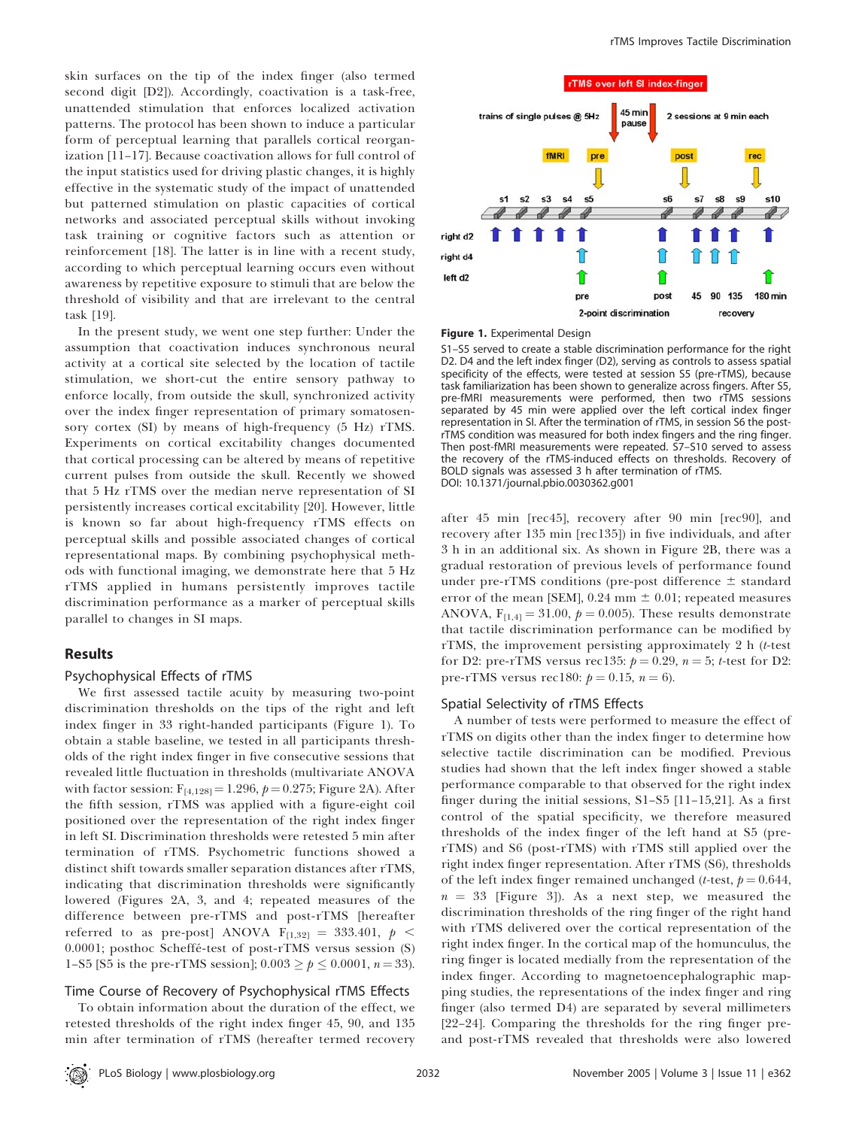skin surfaces on the tip of the index finger (also termed second digit [D2]). Accordingly, coactivation is a task-free, unattended stimulation that enforces localized activation patterns. The protocol has been shown to induce a particular form of perceptual learning that parallels cortical reorganization [11–17]. Because coactivation allows for full control of the input statistics used for driving plastic changes, it is highly effective in the systematic study of the impact of unattended but patterned stimulation on plastic capacities of cortical networks and associated perceptual skills without invoking task training or cognitive factors such as attention or reinforcement [18]. The latter is in line with a recent study, according to which perceptual learning occurs even without awareness by repetitive exposure to stimuli that are below the threshold of visibility and that are irrelevant to the central task [19].

In the present study, we went one step further: Under the assumption that coactivation induces synchronous neural activity at a cortical site selected by the location of tactile stimulation, we short-cut the entire sensory pathway to enforce locally, from outside the skull, synchronized activity over the index finger representation of primary somatosensory cortex (SI) by means of high-frequency (5 Hz) rTMS. Experiments on cortical excitability changes documented that cortical processing can be altered by means of repetitive current pulses from outside the skull. Recently we showed that 5 Hz rTMS over the median nerve representation of SI persistently increases cortical excitability [20]. However, little is known so far about high-frequency rTMS effects on perceptual skills and possible associated changes of cortical representational maps. By combining psychophysical methods with functional imaging, we demonstrate here that 5 Hz rTMS applied in humans persistently improves tactile discrimination performance as a marker of perceptual skills parallel to changes in SI maps.

# Results

#### Psychophysical Effects of rTMS

We first assessed tactile acuity by measuring two-point discrimination thresholds on the tips of the right and left index finger in 33 right-handed participants (Figure 1). To obtain a stable baseline, we tested in all participants thresholds of the right index finger in five consecutive sessions that revealed little fluctuation in thresholds (multivariate ANOVA with factor session:  $F_{[4,128]} = 1.296$ ,  $p = 0.275$ ; Figure 2A). After the fifth session, rTMS was applied with a figure-eight coil positioned over the representation of the right index finger in left SI. Discrimination thresholds were retested 5 min after termination of rTMS. Psychometric functions showed a distinct shift towards smaller separation distances after rTMS, indicating that discrimination thresholds were significantly lowered (Figures 2A, 3, and 4; repeated measures of the difference between pre-rTMS and post-rTMS [hereafter referred to as pre-post] ANOVA  $F_{[1,32]} = 333.401, p <$ 0.0001; posthoc Scheffé-test of post-rTMS versus session (S) 1–S5 [S5 is the pre-rTMS session];  $0.003 \ge p \le 0.0001$ ,  $n = 33$ ).

#### Time Course of Recovery of Psychophysical rTMS Effects

To obtain information about the duration of the effect, we retested thresholds of the right index finger 45, 90, and 135 min after termination of rTMS (hereafter termed recovery



Figure 1. Experimental Design

S1–S5 served to create a stable discrimination performance for the right D2. D4 and the left index finger (D2), serving as controls to assess spatial specificity of the effects, were tested at session S5 (pre-rTMS), because task familiarization has been shown to generalize across fingers. After S5, pre-fMRI measurements were performed, then two rTMS sessions separated by 45 min were applied over the left cortical index finger representation in SI. After the termination of rTMS, in session S6 the postrTMS condition was measured for both index fingers and the ring finger. Then post-fMRI measurements were repeated. S7–S10 served to assess the recovery of the rTMS-induced effects on thresholds. Recovery of BOLD signals was assessed 3 h after termination of rTMS. DOI: 10.1371/journal.pbio.0030362.g001

after 45 min [rec45], recovery after 90 min [rec90], and recovery after 135 min [rec135]) in five individuals, and after 3 h in an additional six. As shown in Figure 2B, there was a gradual restoration of previous levels of performance found under pre-rTMS conditions (pre-post difference  $\pm$  standard error of the mean [SEM], 0.24 mm  $\pm$  0.01; repeated measures ANOVA,  $F_{[1,4]} = 31.00$ ,  $p = 0.005$ ). These results demonstrate that tactile discrimination performance can be modified by rTMS, the improvement persisting approximately 2 h (t-test for D2: pre-rTMS versus rec135:  $p = 0.29$ ,  $n = 5$ ; t-test for D2: pre-rTMS versus rec180:  $p = 0.15$ ,  $n = 6$ ).

### Spatial Selectivity of rTMS Effects

A number of tests were performed to measure the effect of rTMS on digits other than the index finger to determine how selective tactile discrimination can be modified. Previous studies had shown that the left index finger showed a stable performance comparable to that observed for the right index finger during the initial sessions, S1–S5 [11–15,21]. As a first control of the spatial specificity, we therefore measured thresholds of the index finger of the left hand at S5 (prerTMS) and S6 (post-rTMS) with rTMS still applied over the right index finger representation. After rTMS (S6), thresholds of the left index finger remained unchanged (*t*-test,  $p = 0.644$ ,  $n = 33$  [Figure 3]). As a next step, we measured the discrimination thresholds of the ring finger of the right hand with rTMS delivered over the cortical representation of the right index finger. In the cortical map of the homunculus, the ring finger is located medially from the representation of the index finger. According to magnetoencephalographic mapping studies, the representations of the index finger and ring finger (also termed D4) are separated by several millimeters [22–24]. Comparing the thresholds for the ring finger preand post-rTMS revealed that thresholds were also lowered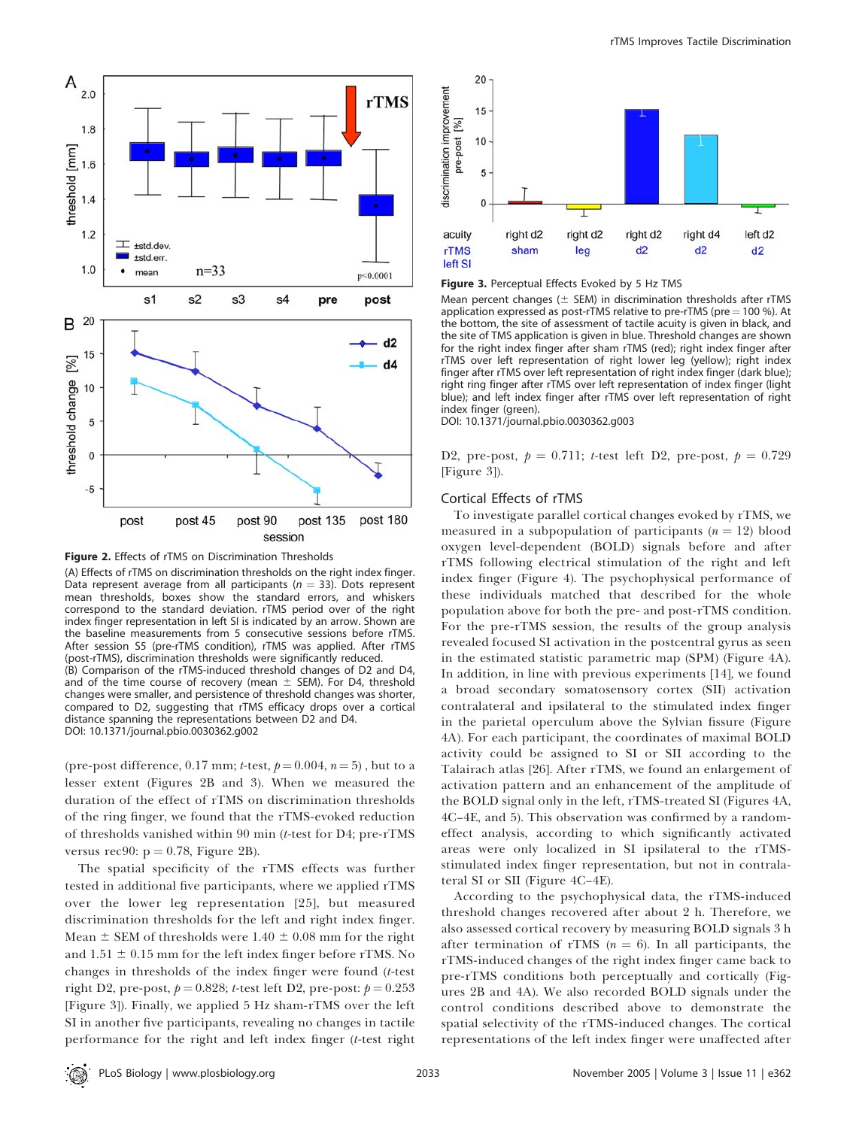



(A) Effects of rTMS on discrimination thresholds on the right index finger. Data represent average from all participants ( $n = 33$ ). Dots represent mean thresholds, boxes show the standard errors, and whiskers correspond to the standard deviation. rTMS period over of the right index finger representation in left SI is indicated by an arrow. Shown are the baseline measurements from 5 consecutive sessions before rTMS. After session S5 (pre-rTMS condition), rTMS was applied. After rTMS (post-rTMS), discrimination thresholds were significantly reduced. (B) Comparison of the rTMS-induced threshold changes of D2 and D4, and of the time course of recovery (mean  $\pm$  SEM). For D4, threshold changes were smaller, and persistence of threshold changes was shorter, compared to D2, suggesting that rTMS efficacy drops over a cortical distance spanning the representations between D2 and D4. DOI: 10.1371/journal.pbio.0030362.g002

(pre-post difference, 0.17 mm; t-test,  $p = 0.004$ ,  $n = 5$ ), but to a lesser extent (Figures 2B and 3). When we measured the duration of the effect of rTMS on discrimination thresholds of the ring finger, we found that the rTMS-evoked reduction of thresholds vanished within 90 min (t-test for D4; pre-rTMS versus rec $90: p = 0.78$ , Figure 2B).

The spatial specificity of the rTMS effects was further tested in additional five participants, where we applied rTMS over the lower leg representation [25], but measured discrimination thresholds for the left and right index finger. Mean  $\pm$  SEM of thresholds were 1.40  $\pm$  0.08 mm for the right and  $1.51 \pm 0.15$  mm for the left index finger before rTMS. No changes in thresholds of the index finger were found (t-test right D2, pre-post,  $p = 0.828$ ; t-test left D2, pre-post:  $p = 0.253$ [Figure 3]). Finally, we applied 5 Hz sham-rTMS over the left SI in another five participants, revealing no changes in tactile performance for the right and left index finger (t-test right





Mean percent changes ( $\pm$  SEM) in discrimination thresholds after rTMS application expressed as post-rTMS relative to pre-rTMS (pre  $=$  100 %). At the bottom, the site of assessment of tactile acuity is given in black, and the site of TMS application is given in blue. Threshold changes are shown for the right index finger after sham rTMS (red); right index finger after rTMS over left representation of right lower leg (yellow); right index finger after rTMS over left representation of right index finger (dark blue); right ring finger after rTMS over left representation of index finger (light blue); and left index finger after rTMS over left representation of right index finger (green).

DOI: 10.1371/journal.pbio.0030362.g003

D2, pre-post,  $p = 0.711$ ; t-test left D2, pre-post,  $p = 0.729$ [Figure 3]).

## Cortical Effects of rTMS

To investigate parallel cortical changes evoked by rTMS, we measured in a subpopulation of participants ( $n = 12$ ) blood oxygen level-dependent (BOLD) signals before and after rTMS following electrical stimulation of the right and left index finger (Figure 4). The psychophysical performance of these individuals matched that described for the whole population above for both the pre- and post-rTMS condition. For the pre-rTMS session, the results of the group analysis revealed focused SI activation in the postcentral gyrus as seen in the estimated statistic parametric map (SPM) (Figure 4A). In addition, in line with previous experiments [14], we found a broad secondary somatosensory cortex (SII) activation contralateral and ipsilateral to the stimulated index finger in the parietal operculum above the Sylvian fissure (Figure 4A). For each participant, the coordinates of maximal BOLD activity could be assigned to SI or SII according to the Talairach atlas [26]. After rTMS, we found an enlargement of activation pattern and an enhancement of the amplitude of the BOLD signal only in the left, rTMS-treated SI (Figures 4A, 4C–4E, and 5). This observation was confirmed by a randomeffect analysis, according to which significantly activated areas were only localized in SI ipsilateral to the rTMSstimulated index finger representation, but not in contralateral SI or SII (Figure 4C–4E).

According to the psychophysical data, the rTMS-induced threshold changes recovered after about 2 h. Therefore, we also assessed cortical recovery by measuring BOLD signals 3 h after termination of rTMS ( $n = 6$ ). In all participants, the rTMS-induced changes of the right index finger came back to pre-rTMS conditions both perceptually and cortically (Figures 2B and 4A). We also recorded BOLD signals under the control conditions described above to demonstrate the spatial selectivity of the rTMS-induced changes. The cortical representations of the left index finger were unaffected after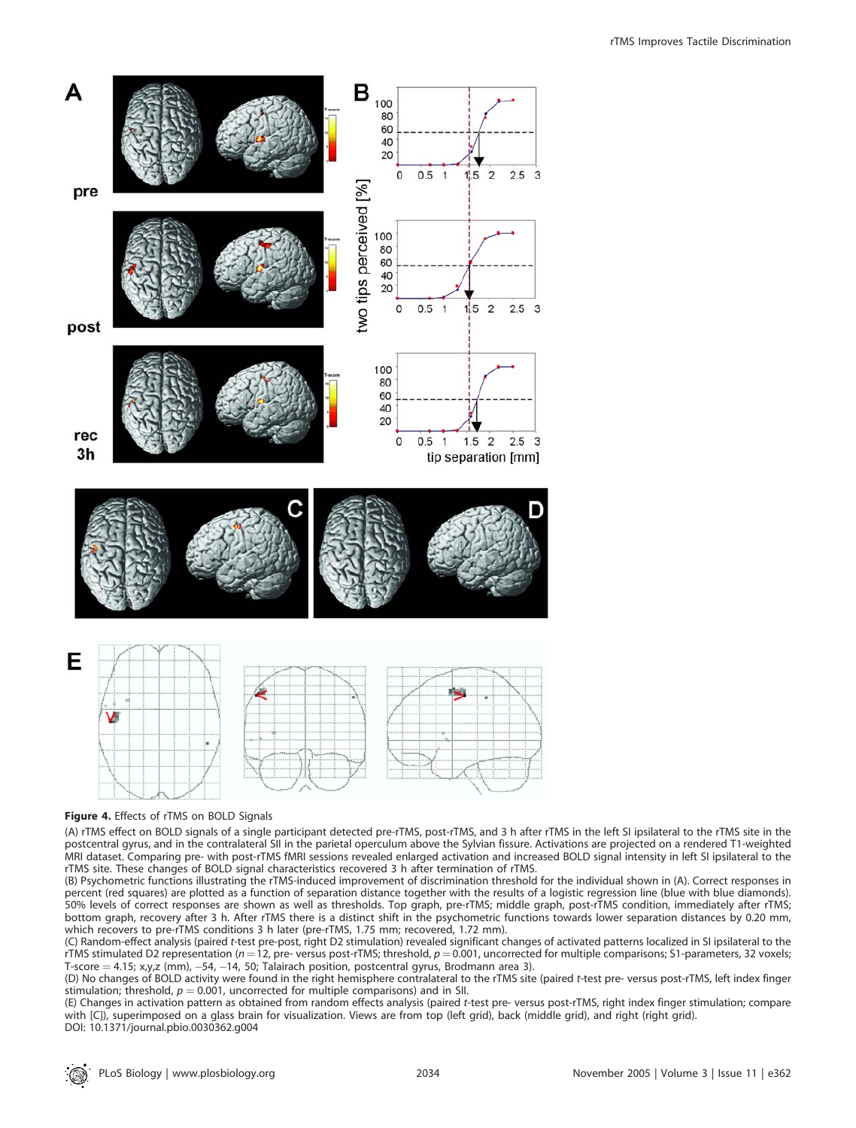

#### Figure 4. Effects of rTMS on BOLD Signals

(A) rTMS effect on BOLD signals of a single participant detected pre-rTMS, post-rTMS, and 3 h after rTMS in the left SI ipsilateral to the rTMS site in the postcentral gyrus, and in the contralateral SII in the parietal operculum above the Sylvian fissure. Activations are projected on a rendered T1-weighted MRI dataset. Comparing pre- with post-rTMS fMRI sessions revealed enlarged activation and increased BOLD signal intensity in left SI ipsilateral to the rTMS site. These changes of BOLD signal characteristics recovered 3 h after termination of rTMS.

(B) Psychometric functions illustrating the rTMS-induced improvement of discrimination threshold for the individual shown in (A). Correct responses in percent (red squares) are plotted as a function of separation distance together with the results of a logistic regression line (blue with blue diamonds). 50% levels of correct responses are shown as well as thresholds. Top graph, pre-rTMS; middle graph, post-rTMS condition, immediately after rTMS; bottom graph, recovery after 3 h. After rTMS there is a distinct shift in the psychometric functions towards lower separation distances by 0.20 mm, which recovers to pre-rTMS conditions 3 h later (pre-rTMS, 1.75 mm; recovered, 1.72 mm).

(C) Random-effect analysis (paired t-test pre-post, right D2 stimulation) revealed significant changes of activated patterns localized in SI ipsilateral to the rTMS stimulated D2 representation ( $n=12$ , pre- versus post-rTMS; threshold,  $p=0.001$ , uncorrected for multiple comparisons; S1-parameters, 32 voxels; T-score  $=$  4.15; x,y,z (mm), -54, -14, 50; Talairach position, postcentral gyrus, Brodmann area 3).

(D) No changes of BOLD activity were found in the right hemisphere contralateral to the rTMS site (paired t-test pre- versus post-rTMS, left index finger stimulation; threshold,  $p = 0.001$ , uncorrected for multiple comparisons) and in SII.

(E) Changes in activation pattern as obtained from random effects analysis (paired t-test pre- versus post-rTMS, right index finger stimulation; compare with [C]), superimposed on a glass brain for visualization. Views are from top (left grid), back (middle grid), and right (right grid). DOI: 10.1371/journal.pbio.0030362.g004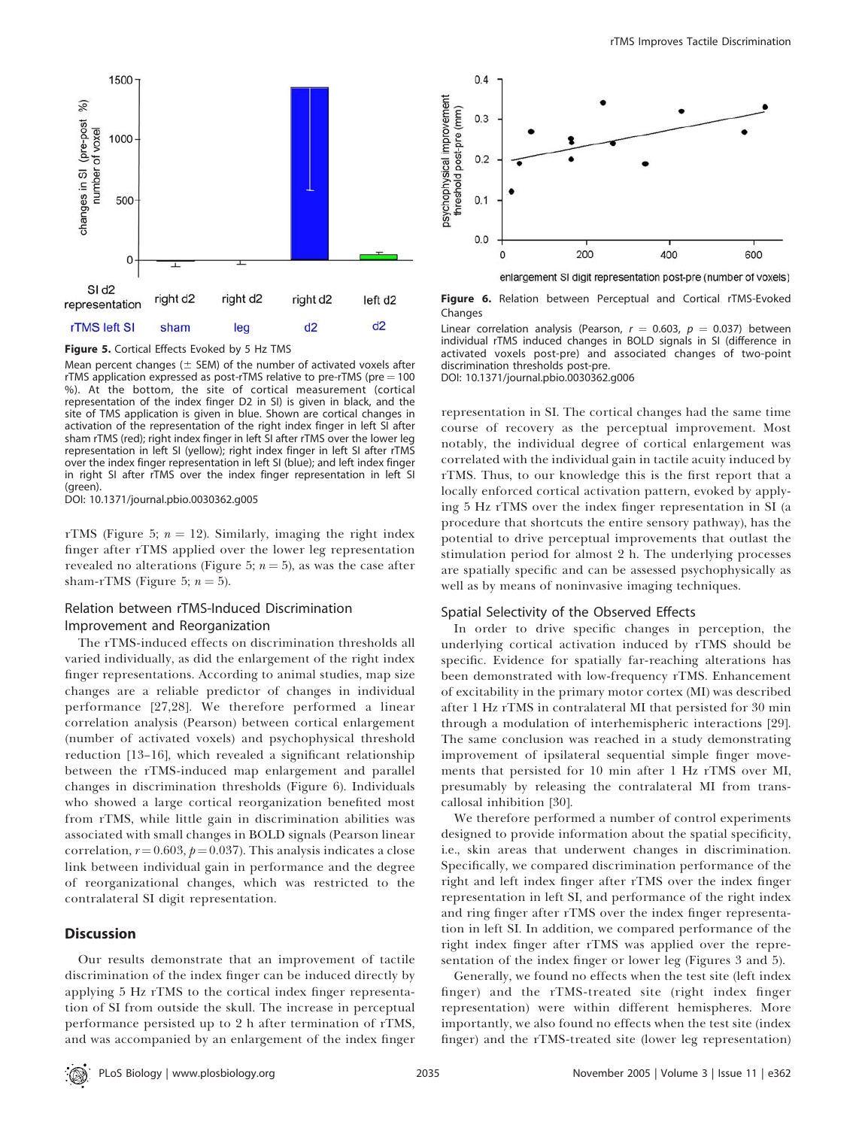

Figure 5. Cortical Effects Evoked by 5 Hz TMS

Mean percent changes ( $\pm$  SEM) of the number of activated voxels after rTMS application expressed as post-rTMS relative to pre-rTMS (pre  $=$  100 %). At the bottom, the site of cortical measurement (cortical representation of the index finger D2 in SI) is given in black, and the site of TMS application is given in blue. Shown are cortical changes in activation of the representation of the right index finger in left SI after sham rTMS (red); right index finger in left SI after rTMS over the lower leg representation in left SI (yellow); right index finger in left SI after rTMS over the index finger representation in left SI (blue); and left index finger in right SI after rTMS over the index finger representation in left SI (green).

DOI: 10.1371/journal.pbio.0030362.g005

rTMS (Figure 5;  $n = 12$ ). Similarly, imaging the right index finger after rTMS applied over the lower leg representation revealed no alterations (Figure 5;  $n = 5$ ), as was the case after sham-rTMS (Figure 5;  $n = 5$ ).

# Relation between rTMS-Induced Discrimination Improvement and Reorganization

The rTMS-induced effects on discrimination thresholds all varied individually, as did the enlargement of the right index finger representations. According to animal studies, map size changes are a reliable predictor of changes in individual performance [27,28]. We therefore performed a linear correlation analysis (Pearson) between cortical enlargement (number of activated voxels) and psychophysical threshold reduction [13–16], which revealed a significant relationship between the rTMS-induced map enlargement and parallel changes in discrimination thresholds (Figure 6). Individuals who showed a large cortical reorganization benefited most from rTMS, while little gain in discrimination abilities was associated with small changes in BOLD signals (Pearson linear correlation,  $r = 0.603$ ,  $p = 0.037$ ). This analysis indicates a close link between individual gain in performance and the degree of reorganizational changes, which was restricted to the contralateral SI digit representation.

# **Discussion**

Our results demonstrate that an improvement of tactile discrimination of the index finger can be induced directly by applying 5 Hz rTMS to the cortical index finger representation of SI from outside the skull. The increase in perceptual performance persisted up to 2 h after termination of rTMS, and was accompanied by an enlargement of the index finger



enlargement SI digit representation post-pre (number of voxels)

Figure 6. Relation between Perceptual and Cortical rTMS-Evoked Changes

Linear correlation analysis (Pearson,  $r = 0.603$ ,  $p = 0.037$ ) between individual rTMS induced changes in BOLD signals in SI (difference in activated voxels post-pre) and associated changes of two-point discrimination thresholds post-pre. DOI: 10.1371/journal.pbio.0030362.g006

representation in SI. The cortical changes had the same time course of recovery as the perceptual improvement. Most notably, the individual degree of cortical enlargement was correlated with the individual gain in tactile acuity induced by rTMS. Thus, to our knowledge this is the first report that a locally enforced cortical activation pattern, evoked by applying 5 Hz rTMS over the index finger representation in SI (a procedure that shortcuts the entire sensory pathway), has the potential to drive perceptual improvements that outlast the stimulation period for almost 2 h. The underlying processes are spatially specific and can be assessed psychophysically as well as by means of noninvasive imaging techniques.

#### Spatial Selectivity of the Observed Effects

In order to drive specific changes in perception, the underlying cortical activation induced by rTMS should be specific. Evidence for spatially far-reaching alterations has been demonstrated with low-frequency rTMS. Enhancement of excitability in the primary motor cortex (MI) was described after 1 Hz rTMS in contralateral MI that persisted for 30 min through a modulation of interhemispheric interactions [29]. The same conclusion was reached in a study demonstrating improvement of ipsilateral sequential simple finger movements that persisted for 10 min after 1 Hz rTMS over MI, presumably by releasing the contralateral MI from transcallosal inhibition [30].

We therefore performed a number of control experiments designed to provide information about the spatial specificity, i.e., skin areas that underwent changes in discrimination. Specifically, we compared discrimination performance of the right and left index finger after rTMS over the index finger representation in left SI, and performance of the right index and ring finger after rTMS over the index finger representation in left SI. In addition, we compared performance of the right index finger after rTMS was applied over the representation of the index finger or lower leg (Figures 3 and 5).

Generally, we found no effects when the test site (left index finger) and the rTMS-treated site (right index finger representation) were within different hemispheres. More importantly, we also found no effects when the test site (index finger) and the rTMS-treated site (lower leg representation)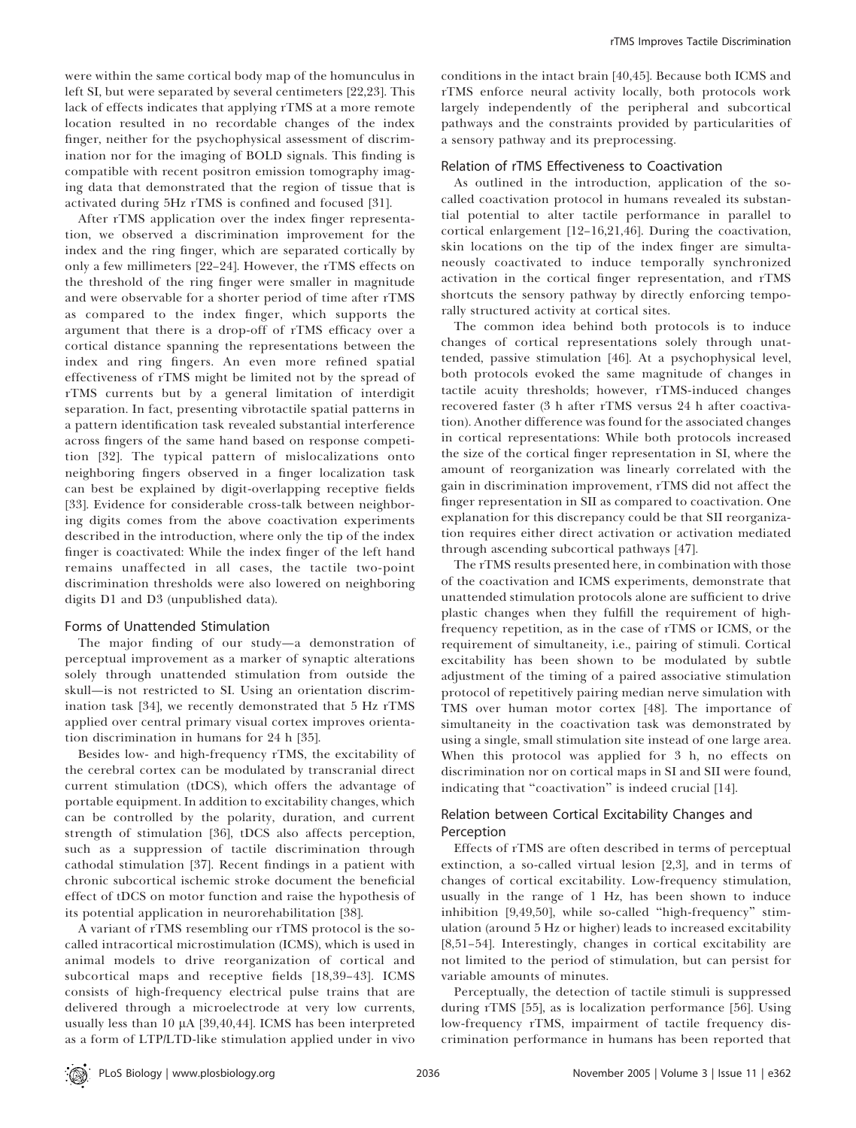were within the same cortical body map of the homunculus in left SI, but were separated by several centimeters [22,23]. This lack of effects indicates that applying rTMS at a more remote location resulted in no recordable changes of the index finger, neither for the psychophysical assessment of discrimination nor for the imaging of BOLD signals. This finding is compatible with recent positron emission tomography imaging data that demonstrated that the region of tissue that is activated during 5Hz rTMS is confined and focused [31].

After rTMS application over the index finger representation, we observed a discrimination improvement for the index and the ring finger, which are separated cortically by only a few millimeters [22–24]. However, the rTMS effects on the threshold of the ring finger were smaller in magnitude and were observable for a shorter period of time after rTMS as compared to the index finger, which supports the argument that there is a drop-off of rTMS efficacy over a cortical distance spanning the representations between the index and ring fingers. An even more refined spatial effectiveness of rTMS might be limited not by the spread of rTMS currents but by a general limitation of interdigit separation. In fact, presenting vibrotactile spatial patterns in a pattern identification task revealed substantial interference across fingers of the same hand based on response competition [32]. The typical pattern of mislocalizations onto neighboring fingers observed in a finger localization task can best be explained by digit-overlapping receptive fields [33]. Evidence for considerable cross-talk between neighboring digits comes from the above coactivation experiments described in the introduction, where only the tip of the index finger is coactivated: While the index finger of the left hand remains unaffected in all cases, the tactile two-point discrimination thresholds were also lowered on neighboring digits D1 and D3 (unpublished data).

#### Forms of Unattended Stimulation

The major finding of our study—a demonstration of perceptual improvement as a marker of synaptic alterations solely through unattended stimulation from outside the skull—is not restricted to SI. Using an orientation discrimination task [34], we recently demonstrated that 5 Hz rTMS applied over central primary visual cortex improves orientation discrimination in humans for 24 h [35].

Besides low- and high-frequency rTMS, the excitability of the cerebral cortex can be modulated by transcranial direct current stimulation (tDCS), which offers the advantage of portable equipment. In addition to excitability changes, which can be controlled by the polarity, duration, and current strength of stimulation [36], tDCS also affects perception, such as a suppression of tactile discrimination through cathodal stimulation [37]. Recent findings in a patient with chronic subcortical ischemic stroke document the beneficial effect of tDCS on motor function and raise the hypothesis of its potential application in neurorehabilitation [38].

A variant of rTMS resembling our rTMS protocol is the socalled intracortical microstimulation (ICMS), which is used in animal models to drive reorganization of cortical and subcortical maps and receptive fields [18,39–43]. ICMS consists of high-frequency electrical pulse trains that are delivered through a microelectrode at very low currents, usually less than 10  $\mu$ A [39,40,44]. ICMS has been interpreted as a form of LTP/LTD-like stimulation applied under in vivo

conditions in the intact brain [40,45]. Because both ICMS and rTMS enforce neural activity locally, both protocols work largely independently of the peripheral and subcortical pathways and the constraints provided by particularities of a sensory pathway and its preprocessing.

# Relation of rTMS Effectiveness to Coactivation

As outlined in the introduction, application of the socalled coactivation protocol in humans revealed its substantial potential to alter tactile performance in parallel to cortical enlargement [12–16,21,46]. During the coactivation, skin locations on the tip of the index finger are simultaneously coactivated to induce temporally synchronized activation in the cortical finger representation, and rTMS shortcuts the sensory pathway by directly enforcing temporally structured activity at cortical sites.

The common idea behind both protocols is to induce changes of cortical representations solely through unattended, passive stimulation [46]. At a psychophysical level, both protocols evoked the same magnitude of changes in tactile acuity thresholds; however, rTMS-induced changes recovered faster (3 h after rTMS versus 24 h after coactivation). Another difference was found for the associated changes in cortical representations: While both protocols increased the size of the cortical finger representation in SI, where the amount of reorganization was linearly correlated with the gain in discrimination improvement, rTMS did not affect the finger representation in SII as compared to coactivation. One explanation for this discrepancy could be that SII reorganization requires either direct activation or activation mediated through ascending subcortical pathways [47].

The rTMS results presented here, in combination with those of the coactivation and ICMS experiments, demonstrate that unattended stimulation protocols alone are sufficient to drive plastic changes when they fulfill the requirement of highfrequency repetition, as in the case of rTMS or ICMS, or the requirement of simultaneity, i.e., pairing of stimuli. Cortical excitability has been shown to be modulated by subtle adjustment of the timing of a paired associative stimulation protocol of repetitively pairing median nerve simulation with TMS over human motor cortex [48]. The importance of simultaneity in the coactivation task was demonstrated by using a single, small stimulation site instead of one large area. When this protocol was applied for 3 h, no effects on discrimination nor on cortical maps in SI and SII were found, indicating that ''coactivation'' is indeed crucial [14].

# Relation between Cortical Excitability Changes and Perception

Effects of rTMS are often described in terms of perceptual extinction, a so-called virtual lesion [2,3], and in terms of changes of cortical excitability. Low-frequency stimulation, usually in the range of 1 Hz, has been shown to induce inhibition [9,49,50], while so-called ''high-frequency'' stimulation (around 5 Hz or higher) leads to increased excitability [8,51–54]. Interestingly, changes in cortical excitability are not limited to the period of stimulation, but can persist for variable amounts of minutes.

Perceptually, the detection of tactile stimuli is suppressed during rTMS [55], as is localization performance [56]. Using low-frequency rTMS, impairment of tactile frequency discrimination performance in humans has been reported that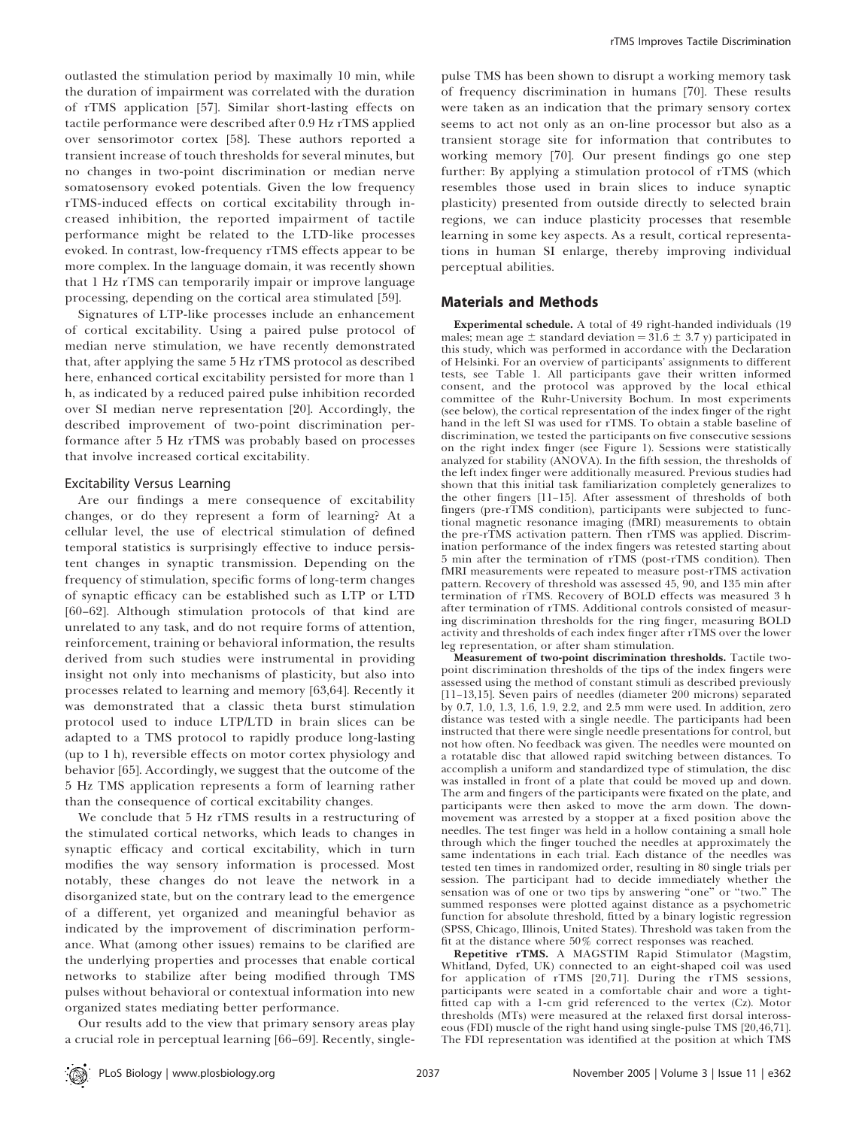outlasted the stimulation period by maximally 10 min, while the duration of impairment was correlated with the duration of rTMS application [57]. Similar short-lasting effects on tactile performance were described after 0.9 Hz rTMS applied over sensorimotor cortex [58]. These authors reported a transient increase of touch thresholds for several minutes, but no changes in two-point discrimination or median nerve somatosensory evoked potentials. Given the low frequency rTMS-induced effects on cortical excitability through increased inhibition, the reported impairment of tactile performance might be related to the LTD-like processes evoked. In contrast, low-frequency rTMS effects appear to be more complex. In the language domain, it was recently shown that 1 Hz rTMS can temporarily impair or improve language processing, depending on the cortical area stimulated [59].

Signatures of LTP-like processes include an enhancement of cortical excitability. Using a paired pulse protocol of median nerve stimulation, we have recently demonstrated that, after applying the same 5 Hz rTMS protocol as described here, enhanced cortical excitability persisted for more than 1 h, as indicated by a reduced paired pulse inhibition recorded over SI median nerve representation [20]. Accordingly, the described improvement of two-point discrimination performance after 5 Hz rTMS was probably based on processes that involve increased cortical excitability.

### Excitability Versus Learning

Are our findings a mere consequence of excitability changes, or do they represent a form of learning? At a cellular level, the use of electrical stimulation of defined temporal statistics is surprisingly effective to induce persistent changes in synaptic transmission. Depending on the frequency of stimulation, specific forms of long-term changes of synaptic efficacy can be established such as LTP or LTD [60–62]. Although stimulation protocols of that kind are unrelated to any task, and do not require forms of attention, reinforcement, training or behavioral information, the results derived from such studies were instrumental in providing insight not only into mechanisms of plasticity, but also into processes related to learning and memory [63,64]. Recently it was demonstrated that a classic theta burst stimulation protocol used to induce LTP/LTD in brain slices can be adapted to a TMS protocol to rapidly produce long-lasting (up to 1 h), reversible effects on motor cortex physiology and behavior [65]. Accordingly, we suggest that the outcome of the 5 Hz TMS application represents a form of learning rather than the consequence of cortical excitability changes.

We conclude that 5 Hz rTMS results in a restructuring of the stimulated cortical networks, which leads to changes in synaptic efficacy and cortical excitability, which in turn modifies the way sensory information is processed. Most notably, these changes do not leave the network in a disorganized state, but on the contrary lead to the emergence of a different, yet organized and meaningful behavior as indicated by the improvement of discrimination performance. What (among other issues) remains to be clarified are the underlying properties and processes that enable cortical networks to stabilize after being modified through TMS pulses without behavioral or contextual information into new organized states mediating better performance.

Our results add to the view that primary sensory areas play a crucial role in perceptual learning [66–69]. Recently, single-

pulse TMS has been shown to disrupt a working memory task of frequency discrimination in humans [70]. These results were taken as an indication that the primary sensory cortex seems to act not only as an on-line processor but also as a transient storage site for information that contributes to working memory [70]. Our present findings go one step further: By applying a stimulation protocol of rTMS (which resembles those used in brain slices to induce synaptic plasticity) presented from outside directly to selected brain regions, we can induce plasticity processes that resemble learning in some key aspects. As a result, cortical representations in human SI enlarge, thereby improving individual perceptual abilities.

## Materials and Methods

Experimental schedule. A total of 49 right-handed individuals (19 males; mean age  $\pm$  standard deviation = 31.6  $\pm$  3.7 y) participated in this study, which was performed in accordance with the Declaration of Helsinki. For an overview of participants' assignments to different tests, see Table 1. All participants gave their written informed consent, and the protocol was approved by the local ethical committee of the Ruhr-University Bochum. In most experiments (see below), the cortical representation of the index finger of the right hand in the left SI was used for rTMS. To obtain a stable baseline of discrimination, we tested the participants on five consecutive sessions on the right index finger (see Figure 1). Sessions were statistically analyzed for stability (ANOVA). In the fifth session, the thresholds of the left index finger were additionally measured. Previous studies had shown that this initial task familiarization completely generalizes to the other fingers [11–15]. After assessment of thresholds of both fingers (pre-rTMS condition), participants were subjected to functional magnetic resonance imaging (fMRI) measurements to obtain the pre-rTMS activation pattern. Then rTMS was applied. Discrimination performance of the index fingers was retested starting about 5 min after the termination of rTMS (post-rTMS condition). Then fMRI measurements were repeated to measure post-rTMS activation pattern. Recovery of threshold was assessed 45, 90, and 135 min after termination of rTMS. Recovery of BOLD effects was measured 3 h after termination of rTMS. Additional controls consisted of measuring discrimination thresholds for the ring finger, measuring BOLD activity and thresholds of each index finger after rTMS over the lower leg representation, or after sham stimulation.

Measurement of two-point discrimination thresholds. Tactile twopoint discrimination thresholds of the tips of the index fingers were assessed using the method of constant stimuli as described previously [11–13,15]. Seven pairs of needles (diameter 200 microns) separated by 0.7, 1.0, 1.3, 1.6, 1.9, 2.2, and 2.5 mm were used. In addition, zero distance was tested with a single needle. The participants had been instructed that there were single needle presentations for control, but not how often. No feedback was given. The needles were mounted on a rotatable disc that allowed rapid switching between distances. To accomplish a uniform and standardized type of stimulation, the disc was installed in front of a plate that could be moved up and down. The arm and fingers of the participants were fixated on the plate, and participants were then asked to move the arm down. The downmovement was arrested by a stopper at a fixed position above the needles. The test finger was held in a hollow containing a small hole through which the finger touched the needles at approximately the same indentations in each trial. Each distance of the needles was tested ten times in randomized order, resulting in 80 single trials per session. The participant had to decide immediately whether the sensation was of one or two tips by answering "one" or "two." The summed responses were plotted against distance as a psychometric function for absolute threshold, fitted by a binary logistic regression (SPSS, Chicago, Illinois, United States). Threshold was taken from the fit at the distance where 50% correct responses was reached.

Repetitive rTMS. A MAGSTIM Rapid Stimulator (Magstim, Whitland, Dyfed, UK) connected to an eight-shaped coil was used for application of rTMS [20,71]. During the rTMS sessions, participants were seated in a comfortable chair and wore a tightfitted cap with a 1-cm grid referenced to the vertex (Cz). Motor thresholds (MTs) were measured at the relaxed first dorsal interosseous (FDI) muscle of the right hand using single-pulse TMS [20,46,71]. The FDI representation was identified at the position at which TMS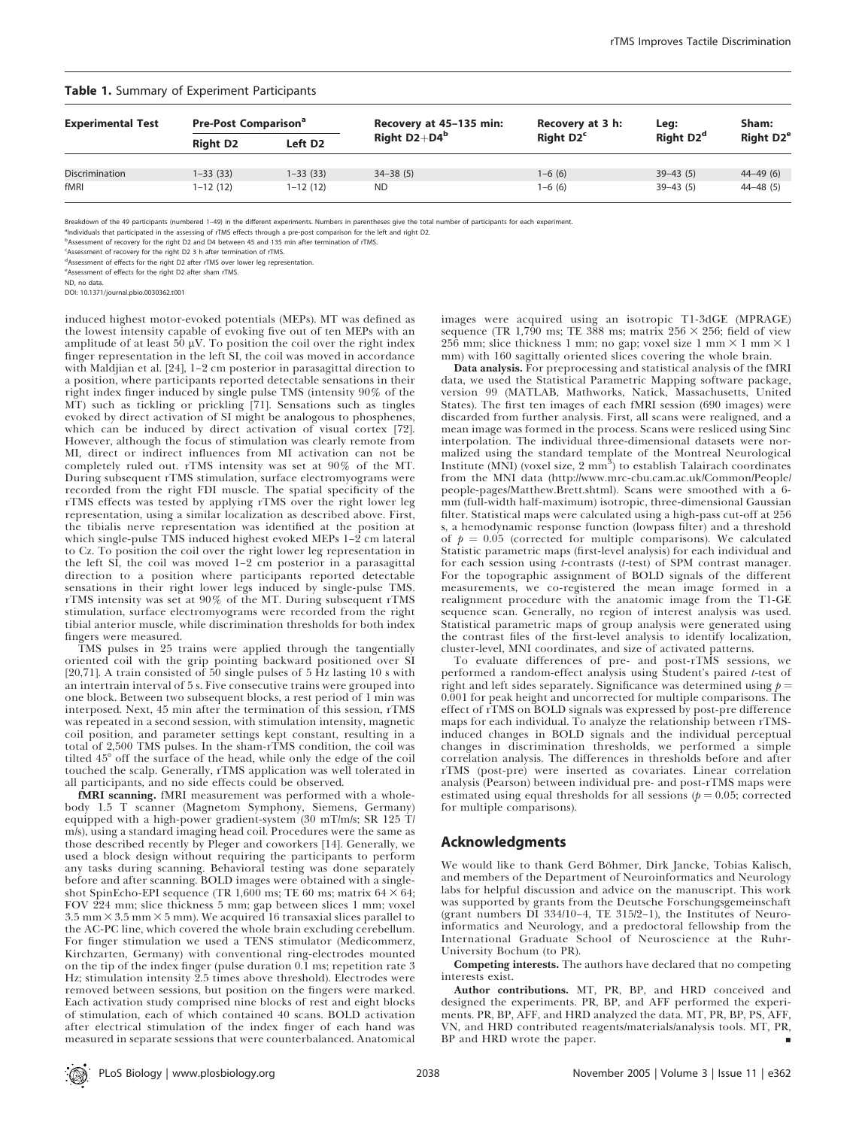| <b>Table 1.</b> Summary of Experiment Participants |                                        |                     |                         |                        |                                   |                                   |
|----------------------------------------------------|----------------------------------------|---------------------|-------------------------|------------------------|-----------------------------------|-----------------------------------|
| <b>Experimental Test</b>                           | <b>Pre-Post Comparison<sup>a</sup></b> |                     | Recovery at 45-135 min: | Recovery at 3 h:       | Leg:                              | Sham:                             |
|                                                    | <b>Right D2</b>                        | Left D <sub>2</sub> | Right $D2+D4^b$         | Right D <sub>2</sub> c | Right D <sub>2</sub> <sup>d</sup> | Right D <sub>2</sub> <sup>e</sup> |
| <b>Discrimination</b>                              | $1 - 33(33)$                           | $1 - 33(33)$        | $34 - 38(5)$            | $1-6(6)$               | $39-43(5)$                        | $44 - 49(6)$                      |
| fMRI                                               | 1–12 (12)                              | $1 - 12(12)$        | ND.                     | $1-6(6)$               | $39 - 43(5)$                      | $44 - 48(5)$                      |

Table 1. Summary of Experiment Participants

Breakdown of the 49 participants (numbered 1–49) in the different experiments. Numbers in parentheses give the total number of participants for each experiment.

a<br>
alndividuals that participated in the assessing of rTMS effects through a pre-post comparison for the left and right D2.

<sup>b</sup>Assessment of recovery for the right D2 and D4 between 45 and 135 min after termination of rTMS.

<sup>c</sup>Assessment of recovery for the right D2 3 h after termination of rTMS. <sup>d</sup>Assessment of effects for the right D2 after rTMS over lower leg representation.

eAssessment of effects for the right D2 after sham rTMS.

ND, no data.

DOI: 10.1371/journal.pbio.0030362.t001

induced highest motor-evoked potentials (MEPs). MT was defined as the lowest intensity capable of evoking five out of ten MEPs with an amplitude of at least 50  $\mu$ V. To position the coil over the right index finger representation in the left SI, the coil was moved in accordance with Maldjian et al. [24], 1–2 cm posterior in parasagittal direction to a position, where participants reported detectable sensations in their right index finger induced by single pulse TMS (intensity 90% of the MT) such as tickling or prickling [71]. Sensations such as tingles evoked by direct activation of SI might be analogous to phosphenes, which can be induced by direct activation of visual cortex [72]. However, although the focus of stimulation was clearly remote from MI, direct or indirect influences from MI activation can not be completely ruled out. rTMS intensity was set at 90% of the MT. During subsequent rTMS stimulation, surface electromyograms were recorded from the right FDI muscle. The spatial specificity of the rTMS effects was tested by applying rTMS over the right lower leg representation, using a similar localization as described above. First, the tibialis nerve representation was identified at the position at which single-pulse TMS induced highest evoked MEPs 1–2 cm lateral to Cz. To position the coil over the right lower leg representation in the left SI, the coil was moved 1–2 cm posterior in a parasagittal direction to a position where participants reported detectable sensations in their right lower legs induced by single-pulse TMS. rTMS intensity was set at 90% of the MT. During subsequent rTMS stimulation, surface electromyograms were recorded from the right tibial anterior muscle, while discrimination thresholds for both index fingers were measured.

TMS pulses in 25 trains were applied through the tangentially oriented coil with the grip pointing backward positioned over SI [20,71]. A train consisted of 50 single pulses of 5  $Hz$  lasting 10 s with an intertrain interval of 5 s. Five consecutive trains were grouped into one block. Between two subsequent blocks, a rest period of 1 min was interposed. Next, 45 min after the termination of this session, rTMS was repeated in a second session, with stimulation intensity, magnetic coil position, and parameter settings kept constant, resulting in a total of 2,500 TMS pulses. In the sham-rTMS condition, the coil was tilted 45° off the surface of the head, while only the edge of the coil touched the scalp. Generally, rTMS application was well tolerated in all participants, and no side effects could be observed.

fMRI scanning. fMRI measurement was performed with a wholebody 1.5 T scanner (Magnetom Symphony, Siemens, Germany) equipped with a high-power gradient-system (30 mT/m/s; SR 125 T/ m/s), using a standard imaging head coil. Procedures were the same as those described recently by Pleger and coworkers [14]. Generally, we used a block design without requiring the participants to perform any tasks during scanning. Behavioral testing was done separately before and after scanning. BOLD images were obtained with a singleshot SpinEcho-EPI sequence (TR 1,600 ms; TE 60 ms; matrix  $64 \times 64;$ FOV 224 mm; slice thickness 5 mm; gap between slices 1 mm; voxel  $3.5\text{ mm}\times3.5\text{ mm}\times5\text{ mm}$ ). We acquired  $16$  transaxial slices parallel to the AC-PC line, which covered the whole brain excluding cerebellum. For finger stimulation we used a TENS stimulator (Medicommerz, Kirchzarten, Germany) with conventional ring-electrodes mounted on the tip of the index finger (pulse duration 0.1 ms; repetition rate 3 Hz; stimulation intensity 2.5 times above threshold). Electrodes were removed between sessions, but position on the fingers were marked. Each activation study comprised nine blocks of rest and eight blocks of stimulation, each of which contained 40 scans. BOLD activation after electrical stimulation of the index finger of each hand was measured in separate sessions that were counterbalanced. Anatomical

images were acquired using an isotropic T1-3dGE (MPRAGE) sequence (TR 1,790 ms; TE 388 ms; matrix  $256 \times 256$ ; field of view 256 mm; slice thickness 1 mm; no gap; voxel size 1 mm  $\times$  1 mm  $\times$  1 mm) with 160 sagittally oriented slices covering the whole brain.

Data analysis. For preprocessing and statistical analysis of the fMRI data, we used the Statistical Parametric Mapping software package, version 99 (MATLAB, Mathworks, Natick, Massachusetts, United States). The first ten images of each fMRI session (690 images) were discarded from further analysis. First, all scans were realigned, and a mean image was formed in the process. Scans were resliced using Sinc interpolation. The individual three-dimensional datasets were normalized using the standard template of the Montreal Neurological Institute (MNI) (voxel size, 2  $\text{mm}^3$ ) to establish Talairach coordinates from the MNI data (http://www.mrc-cbu.cam.ac.uk/Common/People/ people-pages/Matthew.Brett.shtml). Scans were smoothed with a 6 mm (full-width half-maximum) isotropic, three-dimensional Gaussian filter. Statistical maps were calculated using a high-pass cut-off at 256 s, a hemodynamic response function (lowpass filter) and a threshold of  $p = 0.05$  (corrected for multiple comparisons). We calculated Statistic parametric maps (first-level analysis) for each individual and for each session using  $t$ -contrasts ( $t$ -test) of SPM contrast manager. For the topographic assignment of BOLD signals of the different measurements, we co-registered the mean image formed in a realignment procedure with the anatomic image from the T1-GE sequence scan. Generally, no region of interest analysis was used. Statistical parametric maps of group analysis were generated using the contrast files of the first-level analysis to identify localization, cluster-level, MNI coordinates, and size of activated patterns.

To evaluate differences of pre- and post-rTMS sessions, we performed a random-effect analysis using Student's paired t-test of right and left sides separately. Significance was determined using  $p =$ 0.001 for peak height and uncorrected for multiple comparisons. The effect of rTMS on BOLD signals was expressed by post-pre difference maps for each individual. To analyze the relationship between rTMSinduced changes in BOLD signals and the individual perceptual changes in discrimination thresholds, we performed a simple correlation analysis. The differences in thresholds before and after rTMS (post-pre) were inserted as covariates. Linear correlation analysis (Pearson) between individual pre- and post-rTMS maps were estimated using equal thresholds for all sessions ( $p = 0.05$ ; corrected for multiple comparisons).

# Acknowledgments

We would like to thank Gerd Böhmer, Dirk Jancke, Tobias Kalisch, and members of the Department of Neuroinformatics and Neurology labs for helpful discussion and advice on the manuscript. This work was supported by grants from the Deutsche Forschungsgemeinschaft (grant numbers DI 334/10–4, TE 315/2–1), the Institutes of Neuroinformatics and Neurology, and a predoctoral fellowship from the International Graduate School of Neuroscience at the Ruhr-University Bochum (to PR).

Competing interests. The authors have declared that no competing interests exist.

Author contributions. MT, PR, BP, and HRD conceived and designed the experiments. PR, BP, and AFF performed the experiments. PR, BP, AFF, and HRD analyzed the data. MT, PR, BP, PS, AFF, VN, and HRD contributed reagents/materials/analysis tools. MT, PR, BP and HRD wrote the paper.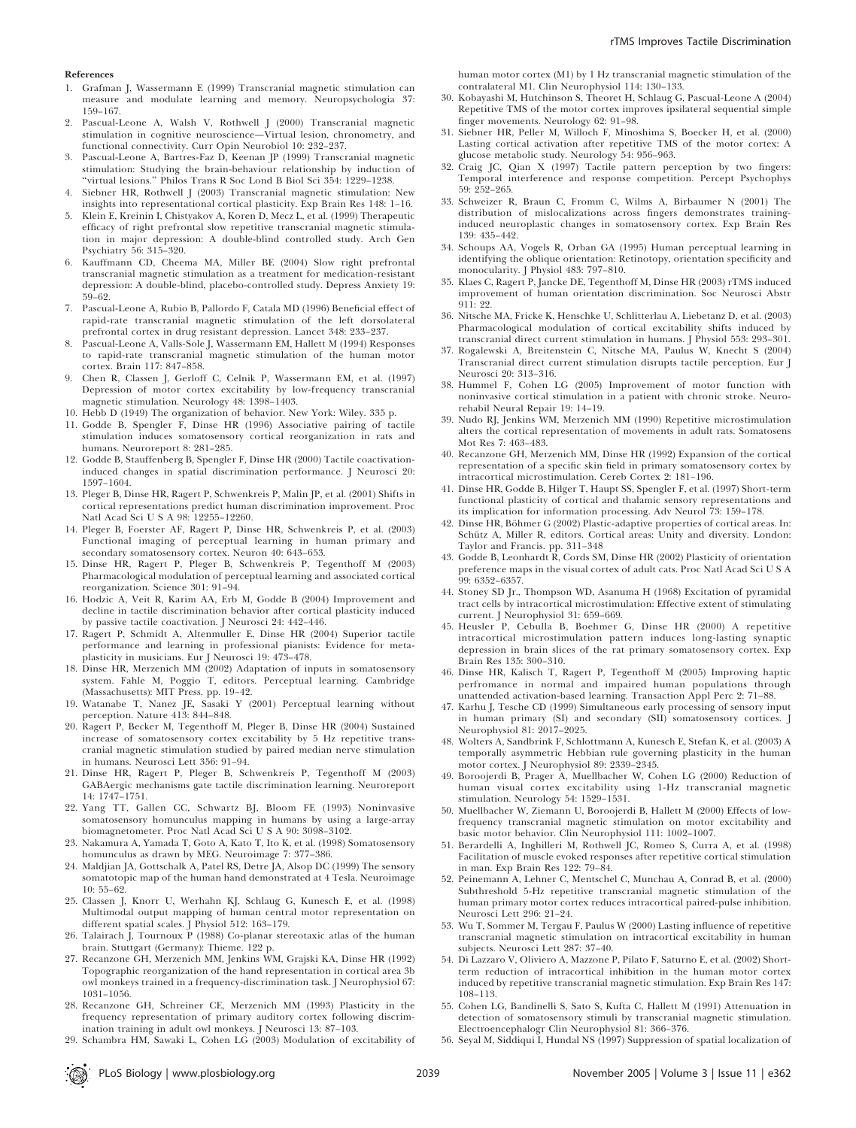#### References

- 
- rTMS Improves Tactile Discrimination

- 1. Grafman J, Wassermann E (1999) Transcranial magnetic stimulation can measure and modulate learning and memory. Neuropsychologia 37: 159–167.
- 2. Pascual-Leone A, Walsh V, Rothwell J (2000) Transcranial magnetic stimulation in cognitive neuroscience—Virtual lesion, chronometry, and functional connectivity. Curr Opin Neurobiol 10: 232–237.
- 3. Pascual-Leone A, Bartres-Faz D, Keenan JP (1999) Transcranial magnetic stimulation: Studying the brain-behaviour relationship by induction of ''virtual lesions.'' Philos Trans R Soc Lond B Biol Sci 354: 1229–1238.
- 4. Siebner HR, Rothwell J (2003) Transcranial magnetic stimulation: New insights into representational cortical plasticity. Exp Brain Res 148: 1–16.
- 5. Klein E, Kreinin I, Chistyakov A, Koren D, Mecz L, et al. (1999) Therapeutic efficacy of right prefrontal slow repetitive transcranial magnetic stimulation in major depression: A double-blind controlled study. Arch Gen Psychiatry 56: 315–320.
- 6. Kauffmann CD, Cheema MA, Miller BE (2004) Slow right prefrontal transcranial magnetic stimulation as a treatment for medication-resistant depression: A double-blind, placebo-controlled study. Depress Anxiety 19: 59–62.
- 7. Pascual-Leone A, Rubio B, Pallordo F, Catala MD (1996) Beneficial effect of rapid-rate transcranial magnetic stimulation of the left dorsolateral prefrontal cortex in drug resistant depression. Lancet 348: 233–237.
- 8. Pascual-Leone A, Valls-Sole J, Wassermann EM, Hallett M (1994) Responses to rapid-rate transcranial magnetic stimulation of the human motor cortex. Brain 117: 847–858.
- 9. Chen R, Classen J, Gerloff C, Celnik P, Wassermann EM, et al. (1997) Depression of motor cortex excitability by low-frequency transcranial magnetic stimulation. Neurology 48: 1398–1403.
- 10. Hebb D (1949) The organization of behavior. New York: Wiley. 335 p.
- 11. Godde B, Spengler F, Dinse HR (1996) Associative pairing of tactile stimulation induces somatosensory cortical reorganization in rats and humans. Neuroreport 8: 281–285.
- 12. Godde B, Stauffenberg B, Spengler F, Dinse HR (2000) Tactile coactivationinduced changes in spatial discrimination performance. J Neurosci 20: 1597–1604.
- 13. Pleger B, Dinse HR, Ragert P, Schwenkreis P, Malin JP, et al. (2001) Shifts in cortical representations predict human discrimination improvement. Proc Natl Acad Sci U S A 98: 12255–12260.
- 14. Pleger B, Foerster AF, Ragert P, Dinse HR, Schwenkreis P, et al. (2003) Functional imaging of perceptual learning in human primary and secondary somatosensory cortex. Neuron 40: 643–653.
- 15. Dinse HR, Ragert P, Pleger B, Schwenkreis P, Tegenthoff M (2003) Pharmacological modulation of perceptual learning and associated cortical reorganization. Science 301: 91–94.
- 16. Hodzic A, Veit R, Karim AA, Erb M, Godde B (2004) Improvement and decline in tactile discrimination behavior after cortical plasticity induced by passive tactile coactivation. J Neurosci 24: 442–446.
- 17. Ragert P, Schmidt A, Altenmuller E, Dinse HR (2004) Superior tactile performance and learning in professional pianists: Evidence for metaplasticity in musicians. Eur J Neurosci 19: 473–478.
- 18. Dinse HR, Merzenich MM (2002) Adaptation of inputs in somatosensory system. Fahle M, Poggio T, editors. Perceptual learning. Cambridge (Massachusetts): MIT Press. pp. 19–42.
- 19. Watanabe T, Nanez JE, Sasaki Y (2001) Perceptual learning without perception. Nature 413: 844–848.
- 20. Ragert P, Becker M, Tegenthoff M, Pleger B, Dinse HR (2004) Sustained increase of somatosensory cortex excitability by 5 Hz repetitive transcranial magnetic stimulation studied by paired median nerve stimulation in humans. Neurosci Lett 356: 91–94.
- 21. Dinse HR, Ragert P, Pleger B, Schwenkreis P, Tegenthoff M (2003) GABAergic mechanisms gate tactile discrimination learning. Neuroreport 14: 1747–1751.
- 22. Yang TT, Gallen CC, Schwartz BJ, Bloom FE (1993) Noninvasive somatosensory homunculus mapping in humans by using a large-array biomagnetometer. Proc Natl Acad Sci U S A 90: 3098–3102.
- 23. Nakamura A, Yamada T, Goto A, Kato T, Ito K, et al. (1998) Somatosensory homunculus as drawn by MEG. Neuroimage 7: 377–386.
- 24. Maldjian JA, Gottschalk A, Patel RS, Detre JA, Alsop DC (1999) The sensory somatotopic map of the human hand demonstrated at 4 Tesla. Neuroimage 10: 55–62.
- 25. Classen J, Knorr U, Werhahn KJ, Schlaug G, Kunesch E, et al. (1998) Multimodal output mapping of human central motor representation on different spatial scales. J Physiol 512: 163–179.
- 26. Talairach J, Tournoux P (1988) Co-planar stereotaxic atlas of the human brain. Stuttgart (Germany): Thieme. 122 p.
- 27. Recanzone GH, Merzenich MM, Jenkins WM, Grajski KA, Dinse HR (1992) Topographic reorganization of the hand representation in cortical area 3b owl monkeys trained in a frequency-discrimination task. J Neurophysiol 67: 1031–1056.
- 28. Recanzone GH, Schreiner CE, Merzenich MM (1993) Plasticity in the frequency representation of primary auditory cortex following discrimination training in adult owl monkeys. J Neurosci 13: 87–103.
- 29. Schambra HM, Sawaki L, Cohen LG (2003) Modulation of excitability of

human motor cortex (M1) by 1 Hz transcranial magnetic stimulation of the contralateral M1. Clin Neurophysiol 114: 130–133.

- 30. Kobayashi M, Hutchinson S, Theoret H, Schlaug G, Pascual-Leone A (2004) Repetitive TMS of the motor cortex improves ipsilateral sequential simple finger movements. Neurology 62: 91–98.
- 31. Siebner HR, Peller M, Willoch F, Minoshima S, Boecker H, et al. (2000) Lasting cortical activation after repetitive TMS of the motor cortex: A glucose metabolic study. Neurology 54: 956–963.
- 32. Craig JC, Qian X (1997) Tactile pattern perception by two fingers: Temporal interference and response competition. Percept Psychophys 59: 252–265.
- 33. Schweizer R, Braun C, Fromm C, Wilms A, Birbaumer N (2001) The distribution of mislocalizations across fingers demonstrates traininginduced neuroplastic changes in somatosensory cortex. Exp Brain Res 139: 435–442.
- 34. Schoups AA, Vogels R, Orban GA (1995) Human perceptual learning in identifying the oblique orientation: Retinotopy, orientation specificity and monocularity. J Physiol 483: 797–810.
- 35. Klaes C, Ragert P, Jancke DE, Tegenthoff M, Dinse HR (2003) rTMS induced improvement of human orientation discrimination. Soc Neurosci Abstr 911: 22.
- 36. Nitsche MA, Fricke K, Henschke U, Schlitterlau A, Liebetanz D, et al. (2003) Pharmacological modulation of cortical excitability shifts induced by transcranial direct current stimulation in humans. J Physiol 553: 293–301.
- 37. Rogalewski A, Breitenstein C, Nitsche MA, Paulus W, Knecht S (2004) Transcranial direct current stimulation disrupts tactile perception. Eur J Neurosci 20: 313–316.
- 38. Hummel F, Cohen LG (2005) Improvement of motor function with noninvasive cortical stimulation in a patient with chronic stroke. Neurorehabil Neural Repair 19: 14–19.
- 39. Nudo RJ, Jenkins WM, Merzenich MM (1990) Repetitive microstimulation alters the cortical representation of movements in adult rats. Somatosens Mot Res 7: 463–483.
- 40. Recanzone GH, Merzenich MM, Dinse HR (1992) Expansion of the cortical representation of a specific skin field in primary somatosensory cortex by intracortical microstimulation. Cereb Cortex 2: 181–196.
- 41. Dinse HR, Godde B, Hilger T, Haupt SS, Spengler F, et al. (1997) Short-term functional plasticity of cortical and thalamic sensory representations and its implication for information processing. Adv Neurol 73: 159–178.
- 42. Dinse HR, Böhmer G (2002) Plastic-adaptive properties of cortical areas. In: Schütz A, Miller R, editors. Cortical areas: Unity and diversity. London: Taylor and Francis. pp. 311–348
- 43. Godde B, Leonhardt R, Cords SM, Dinse HR (2002) Plasticity of orientation preference maps in the visual cortex of adult cats. Proc Natl Acad Sci U S A 99: 6352–6357.
- 44. Stoney SD Jr., Thompson WD, Asanuma H (1968) Excitation of pyramidal tract cells by intracortical microstimulation: Effective extent of stimulating current. J Neurophysiol 31: 659–669.
- 45. Heusler P, Cebulla B, Boehmer G, Dinse HR (2000) A repetitive intracortical microstimulation pattern induces long-lasting synaptic depression in brain slices of the rat primary somatosensory cortex. Exp Brain Res 135: 300–310.
- 46. Dinse HR, Kalisch T, Ragert P, Tegenthoff M (2005) Improving haptic perfromance in normal and impaired human populations through unattended activation-based learning. Transaction Appl Perc 2: 71–88.
- 47. Karhu J, Tesche CD (1999) Simultaneous early processing of sensory input in human primary (SI) and secondary (SII) somatosensory cortices. J Neurophysiol 81: 2017–2025.
- 48. Wolters A, Sandbrink F, Schlottmann A, Kunesch E, Stefan K, et al. (2003) A temporally asymmetric Hebbian rule governing plasticity in the human motor cortex. J Neurophysiol 89: 2339–2345.
- 49. Boroojerdi B, Prager A, Muellbacher W, Cohen LG (2000) Reduction of human visual cortex excitability using 1-Hz transcranial magnetic stimulation. Neurology 54: 1529–1531.
- 50. Muellbacher W, Ziemann U, Boroojerdi B, Hallett M (2000) Effects of lowfrequency transcranial magnetic stimulation on motor excitability and basic motor behavior. Clin Neurophysiol 111: 1002–1007.
- 51. Berardelli A, Inghilleri M, Rothwell JC, Romeo S, Curra A, et al. (1998) Facilitation of muscle evoked responses after repetitive cortical stimulation in man. Exp Brain Res 122: 79–84.
- 52. Peinemann A, Lehner C, Mentschel C, Munchau A, Conrad B, et al. (2000) Subthreshold 5-Hz repetitive transcranial magnetic stimulation of the human primary motor cortex reduces intracortical paired-pulse inhibition. Neurosci Lett 296: 21–24.
- 53. Wu T, Sommer M, Tergau F, Paulus W (2000) Lasting influence of repetitive transcranial magnetic stimulation on intracortical excitability in human subjects. Neurosci Lett 287: 37–40.
- 54. Di Lazzaro V, Oliviero A, Mazzone P, Pilato F, Saturno E, et al. (2002) Shortterm reduction of intracortical inhibition in the human motor cortex induced by repetitive transcranial magnetic stimulation. Exp Brain Res 147: 108–113.
- 55. Cohen LG, Bandinelli S, Sato S, Kufta C, Hallett M (1991) Attenuation in detection of somatosensory stimuli by transcranial magnetic stimulation. Electroencephalogr Clin Neurophysiol 81: 366–376.
- 56. Seyal M, Siddiqui I, Hundal NS (1997) Suppression of spatial localization of